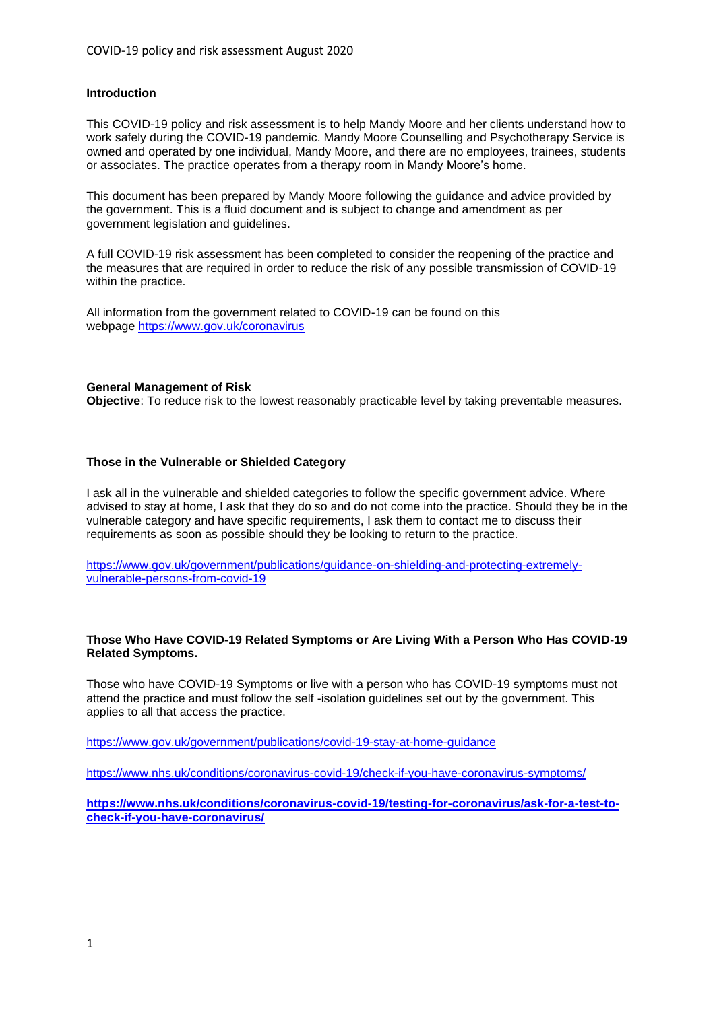## **Introduction**

This COVID-19 policy and risk assessment is to help Mandy Moore and her clients understand how to work safely during the COVID-19 pandemic. Mandy Moore Counselling and Psychotherapy Service is owned and operated by one individual, Mandy Moore, and there are no employees, trainees, students or associates. The practice operates from a therapy room in Mandy Moore's home.

This document has been prepared by Mandy Moore following the guidance and advice provided by the government. This is a fluid document and is subject to change and amendment as per government legislation and guidelines.

A full COVID-19 risk assessment has been completed to consider the reopening of the practice and the measures that are required in order to reduce the risk of any possible transmission of COVID-19 within the practice.

All information from the government related to COVID-19 can be found on this webpage <https://www.gov.uk/coronavirus>

#### **General Management of Risk**

**Objective**: To reduce risk to the lowest reasonably practicable level by taking preventable measures.

## **Those in the Vulnerable or Shielded Category**

I ask all in the vulnerable and shielded categories to follow the specific government advice. Where advised to stay at home, I ask that they do so and do not come into the practice. Should they be in the vulnerable category and have specific requirements, I ask them to contact me to discuss their requirements as soon as possible should they be looking to return to the practice.

[https://www.gov.uk/government/publications/guidance-on-shielding-and-protecting-extremely](https://www.gov.uk/government/publications/guidance-on-shielding-and-protecting-extremely-vulnerable-persons-from-covid-19)[vulnerable-persons-from-covid-19](https://www.gov.uk/government/publications/guidance-on-shielding-and-protecting-extremely-vulnerable-persons-from-covid-19)

## **Those Who Have COVID-19 Related Symptoms or Are Living With a Person Who Has COVID-19 Related Symptoms.**

Those who have COVID-19 Symptoms or live with a person who has COVID-19 symptoms must not attend the practice and must follow the self -isolation guidelines set out by the government. This applies to all that access the practice.

<https://www.gov.uk/government/publications/covid-19-stay-at-home-guidance>

<https://www.nhs.uk/conditions/coronavirus-covid-19/check-if-you-have-coronavirus-symptoms/>

**[https://www.nhs.uk/conditions/coronavirus-covid-19/testing-for-coronavirus/ask-for-a-test-to](https://www.nhs.uk/conditions/coronavirus-covid-19/testing-for-coronavirus/ask-for-a-test-to-check-if-you-have-coronavirus/)[check-if-you-have-coronavirus/](https://www.nhs.uk/conditions/coronavirus-covid-19/testing-for-coronavirus/ask-for-a-test-to-check-if-you-have-coronavirus/)**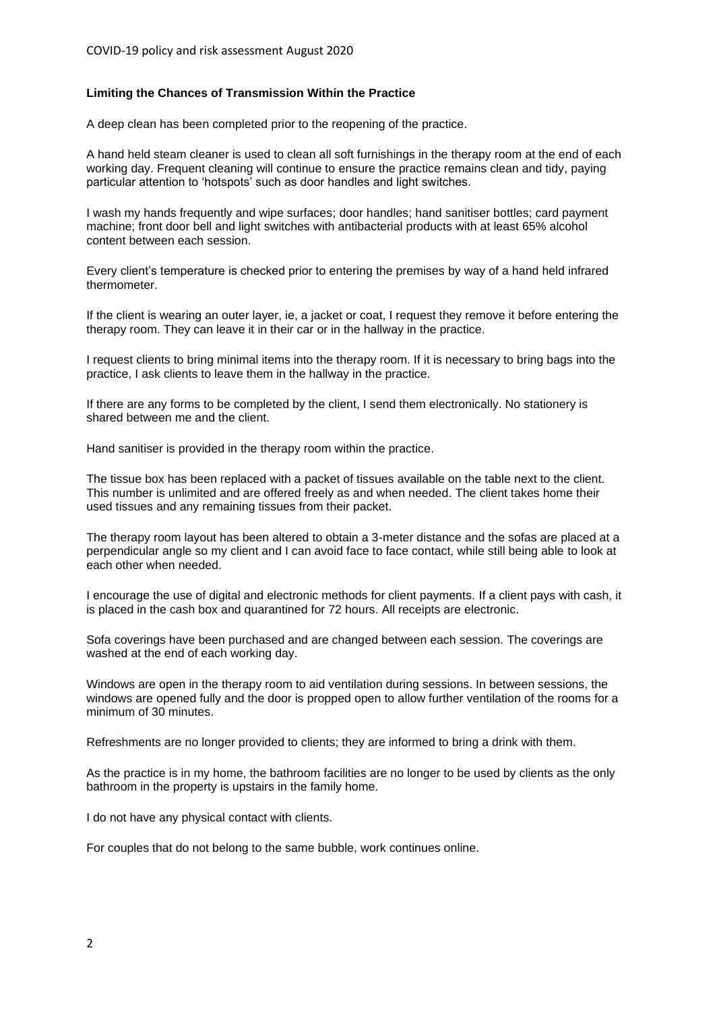## **Limiting the Chances of Transmission Within the Practice**

A deep clean has been completed prior to the reopening of the practice.

A hand held steam cleaner is used to clean all soft furnishings in the therapy room at the end of each working day. Frequent cleaning will continue to ensure the practice remains clean and tidy, paying particular attention to 'hotspots' such as door handles and light switches.

I wash my hands frequently and wipe surfaces; door handles; hand sanitiser bottles; card payment machine; front door bell and light switches with antibacterial products with at least 65% alcohol content between each session.

Every client's temperature is checked prior to entering the premises by way of a hand held infrared thermometer.

If the client is wearing an outer layer, ie, a jacket or coat, I request they remove it before entering the therapy room. They can leave it in their car or in the hallway in the practice.

I request clients to bring minimal items into the therapy room. If it is necessary to bring bags into the practice, I ask clients to leave them in the hallway in the practice.

If there are any forms to be completed by the client, I send them electronically. No stationery is shared between me and the client.

Hand sanitiser is provided in the therapy room within the practice.

The tissue box has been replaced with a packet of tissues available on the table next to the client. This number is unlimited and are offered freely as and when needed. The client takes home their used tissues and any remaining tissues from their packet.

The therapy room layout has been altered to obtain a 3-meter distance and the sofas are placed at a perpendicular angle so my client and I can avoid face to face contact, while still being able to look at each other when needed.

I encourage the use of digital and electronic methods for client payments. If a client pays with cash, it is placed in the cash box and quarantined for 72 hours. All receipts are electronic.

Sofa coverings have been purchased and are changed between each session. The coverings are washed at the end of each working day.

Windows are open in the therapy room to aid ventilation during sessions. In between sessions, the windows are opened fully and the door is propped open to allow further ventilation of the rooms for a minimum of 30 minutes.

Refreshments are no longer provided to clients; they are informed to bring a drink with them.

As the practice is in my home, the bathroom facilities are no longer to be used by clients as the only bathroom in the property is upstairs in the family home.

I do not have any physical contact with clients.

For couples that do not belong to the same bubble, work continues online.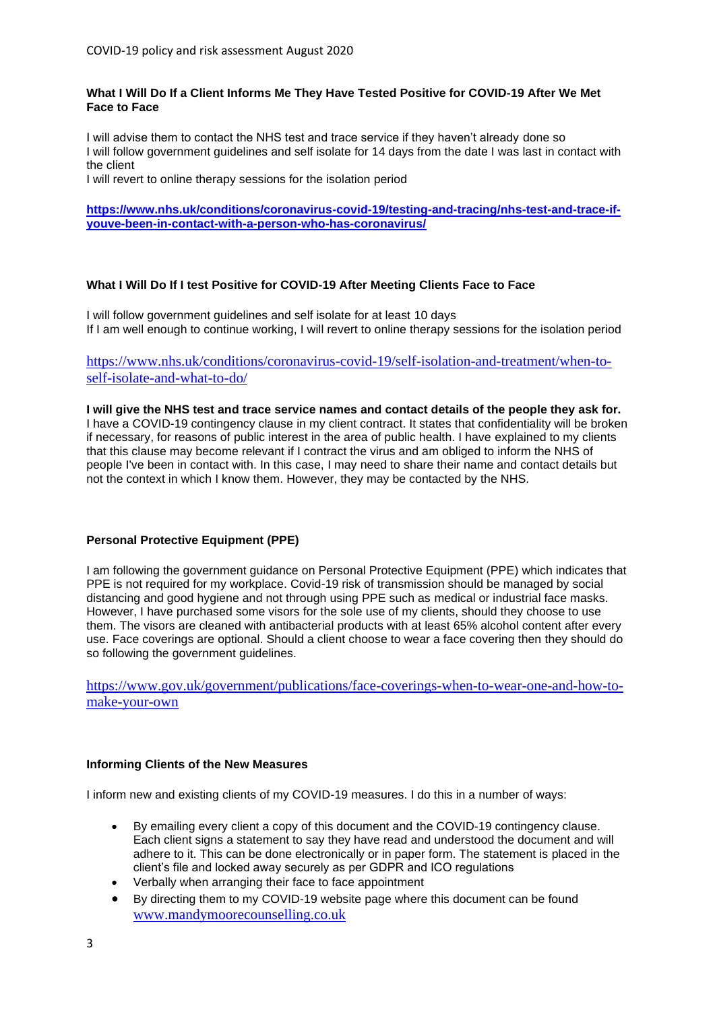### **What I Will Do If a Client Informs Me They Have Tested Positive for COVID-19 After We Met Face to Face**

I will advise them to contact the NHS test and trace service if they haven't already done so I will follow government guidelines and self isolate for 14 days from the date I was last in contact with the client

I will revert to online therapy sessions for the isolation period

**[https://www.nhs.uk/conditions/coronavirus-covid-19/testing-and-tracing/nhs-test-and-trace-if](https://www.nhs.uk/conditions/coronavirus-covid-19/testing-and-tracing/nhs-test-and-trace-if-youve-been-in-contact-with-a-person-who-has-coronavirus/)[youve-been-in-contact-with-a-person-who-has-coronavirus/](https://www.nhs.uk/conditions/coronavirus-covid-19/testing-and-tracing/nhs-test-and-trace-if-youve-been-in-contact-with-a-person-who-has-coronavirus/)**

## **What I Will Do If I test Positive for COVID-19 After Meeting Clients Face to Face**

I will follow government guidelines and self isolate for at least 10 days If I am well enough to continue working, I will revert to online therapy sessions for the isolation period

## [https://www.nhs.uk/conditions/coronavirus-covid-19/self-isolation-and-treatment/when-to](https://www.nhs.uk/conditions/coronavirus-covid-19/self-isolation-and-treatment/when-to-self-isolate-and-what-to-do/)[self-isolate-and-what-to-do/](https://www.nhs.uk/conditions/coronavirus-covid-19/self-isolation-and-treatment/when-to-self-isolate-and-what-to-do/)

**I will give the NHS test and trace service names and contact details of the people they ask for.**  I have a COVID-19 contingency clause in my client contract. It states that confidentiality will be broken if necessary, for reasons of public interest in the area of public health. I have explained to my clients that this clause may become relevant if I contract the virus and am obliged to inform the NHS of people I've been in contact with. In this case, I may need to share their name and contact details but not the context in which I know them. However, they may be contacted by the NHS.

## **Personal Protective Equipment (PPE)**

I am following the government guidance on Personal Protective Equipment (PPE) which indicates that PPE is not required for my workplace. Covid-19 risk of transmission should be managed by social distancing and good hygiene and not through using PPE such as medical or industrial face masks. However. I have purchased some visors for the sole use of my clients, should they choose to use them. The visors are cleaned with antibacterial products with at least 65% alcohol content after every use. Face coverings are optional. Should a client choose to wear a face covering then they should do so following the government guidelines.

[https://www.gov.uk/government/publications/face-coverings-when-to-wear-one-and-how-to](https://www.gov.uk/government/publications/face-coverings-when-to-wear-one-and-how-to-make-your-own)[make-your-own](https://www.gov.uk/government/publications/face-coverings-when-to-wear-one-and-how-to-make-your-own)

## **Informing Clients of the New Measures**

I inform new and existing clients of my COVID-19 measures. I do this in a number of ways:

- By emailing every client a copy of this document and the COVID-19 contingency clause. Each client signs a statement to say they have read and understood the document and will adhere to it. This can be done electronically or in paper form. The statement is placed in the client's file and locked away securely as per GDPR and ICO regulations
- Verbally when arranging their face to face appointment
- By directing them to my COVID-19 website page where this document can be found [www.mandymoorecounselling.co.uk](http://www.mandymoorecounselling.co.uk/)